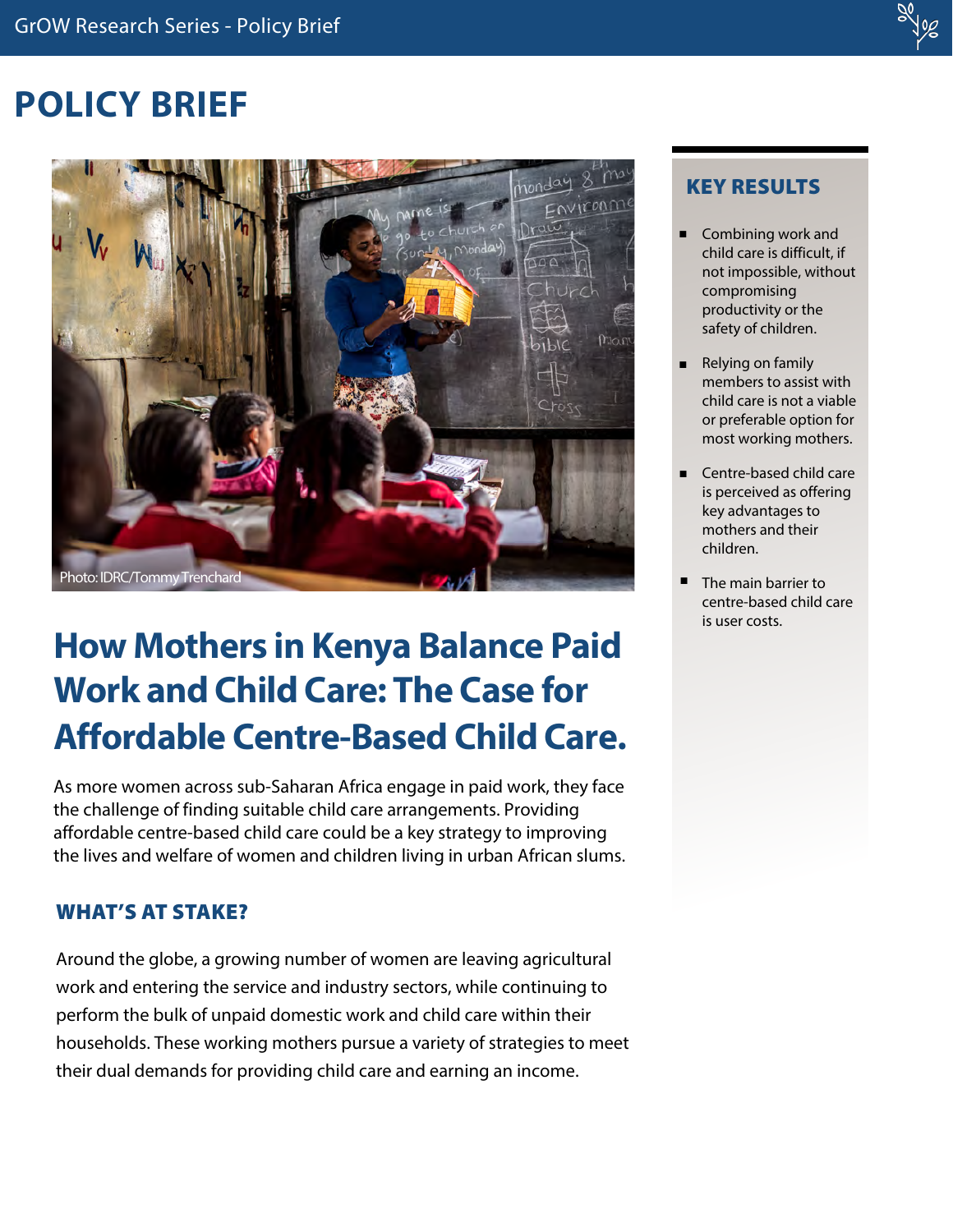# **POLICY BRIEF**



# **How Mothers in Kenya Balance Paid Work and Child Care: The Case for Affordable Centre-Based Child Care.**

As more women across sub-Saharan Africa engage in paid work, they face the challenge of finding suitable child care arrangements. Providing affordable centre-based child care could be a key strategy to improving the lives and welfare of women and children living in urban African slums.

# WHAT'S AT STAKE?

Around the globe, a growing number of women are leaving agricultural work and entering the service and industry sectors, while continuing to perform the bulk of unpaid domestic work and child care within their households. These working mothers pursue a variety of strategies to meet their dual demands for providing child care and earning an income.

# KEY RESULTS

- n Combining work and child care is difficult, if not impossible, without compromising productivity or the safety of children.
- n Relying on family members to assist with child care is not a viable or preferable option for most working mothers.
- n Centre-based child care is perceived as offering key advantages to mothers and their children.
- n The main barrier to centre-based child care is user costs.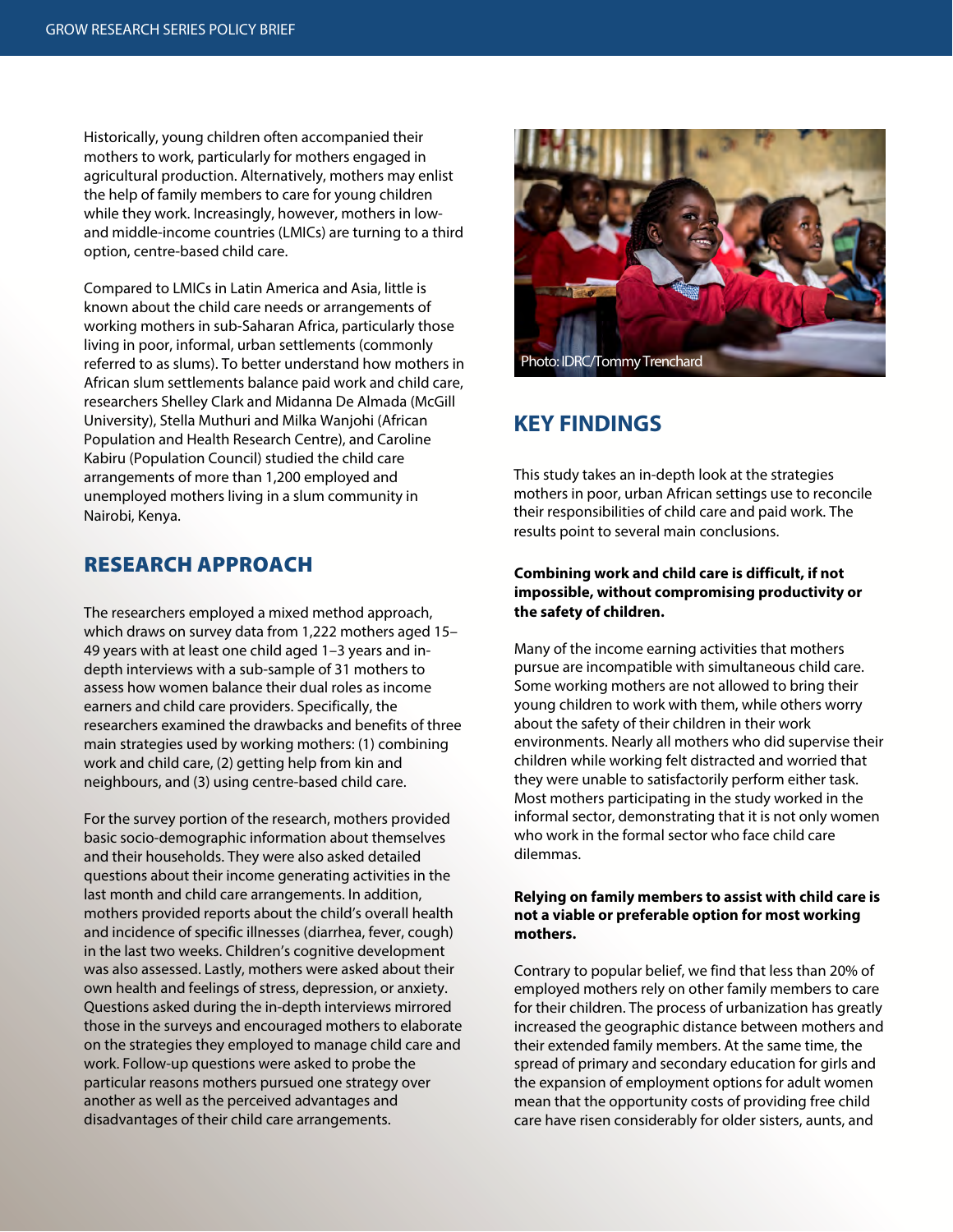Historically, young children often accompanied their mothers to work, particularly for mothers engaged in agricultural production. Alternatively, mothers may enlist the help of family members to care for young children while they work. Increasingly, however, mothers in lowand middle-income countries (LMICs) are turning to a third option, centre-based child care.

Compared to LMICs in Latin America and Asia, little is known about the child care needs or arrangements of working mothers in sub-Saharan Africa, particularly those living in poor, informal, urban settlements (commonly referred to as slums). To better understand how mothers in African slum settlements balance paid work and child care, researchers Shelley Clark and Midanna De Almada (McGill University), Stella Muthuri and Milka Wanjohi (African Population and Health Research Centre), and Caroline Kabiru (Population Council) studied the child care arrangements of more than 1,200 employed and unemployed mothers living in a slum community in Nairobi, Kenya.

## RESEARCH APPROACH

The researchers employed a mixed method approach, which draws on survey data from 1,222 mothers aged 15– 49 years with at least one child aged 1–3 years and indepth interviews with a sub-sample of 31 mothers to assess how women balance their dual roles as income earners and child care providers. Specifically, the researchers examined the drawbacks and benefits of three main strategies used by working mothers: (1) combining work and child care, (2) getting help from kin and neighbours, and (3) using centre-based child care.

For the survey portion of the research, mothers provided basic socio-demographic information about themselves and their households. They were also asked detailed questions about their income generating activities in the last month and child care arrangements. In addition, mothers provided reports about the child's overall health and incidence of specific illnesses (diarrhea, fever, cough) in the last two weeks. Children's cognitive development was also assessed. Lastly, mothers were asked about their own health and feelings of stress, depression, or anxiety. Questions asked during the in-depth interviews mirrored those in the surveys and encouraged mothers to elaborate on the strategies they employed to manage child care and work. Follow-up questions were asked to probe the particular reasons mothers pursued one strategy over another as well as the perceived advantages and disadvantages of their child care arrangements.



## **KEY FINDINGS**

This study takes an in-depth look at the strategies mothers in poor, urban African settings use to reconcile their responsibilities of child care and paid work. The results point to several main conclusions.

#### **Combining work and child care is difficult, if not impossible, without compromising productivity or the safety of children.**

Many of the income earning activities that mothers pursue are incompatible with simultaneous child care. Some working mothers are not allowed to bring their young children to work with them, while others worry about the safety of their children in their work environments. Nearly all mothers who did supervise their children while working felt distracted and worried that they were unable to satisfactorily perform either task. Most mothers participating in the study worked in the informal sector, demonstrating that it is not only women who work in the formal sector who face child care dilemmas.

#### **Relying on family members to assist with child care is not a viable or preferable option for most working mothers.**

Contrary to popular belief, we find that less than 20% of employed mothers rely on other family members to care for their children. The process of urbanization has greatly increased the geographic distance between mothers and their extended family members. At the same time, the spread of primary and secondary education for girls and the expansion of employment options for adult women mean that the opportunity costs of providing free child care have risen considerably for older sisters, aunts, and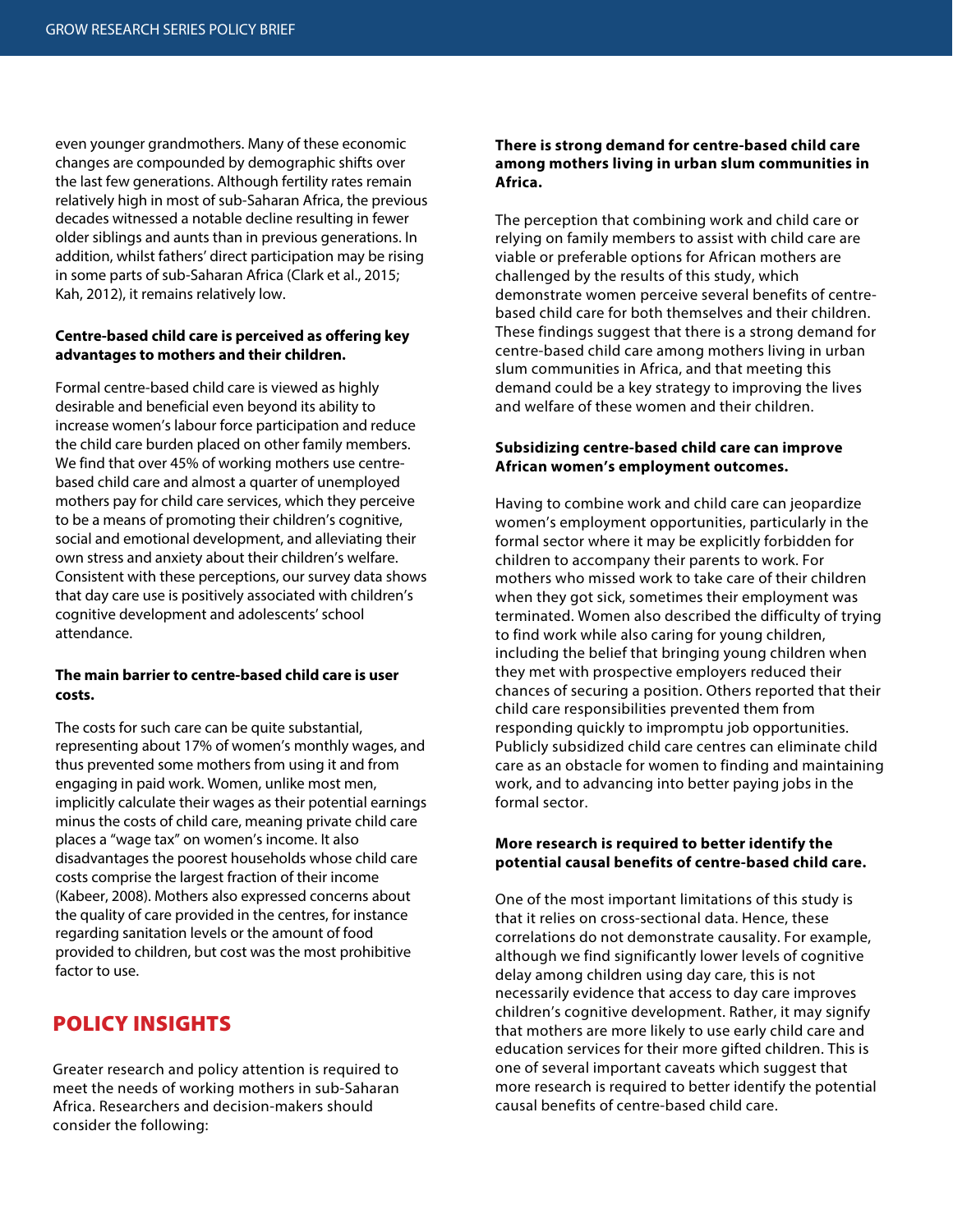even younger grandmothers. Many of these economic changes are compounded by demographic shifts over the last few generations. Although fertility rates remain relatively high in most of sub-Saharan Africa, the previous decades witnessed a notable decline resulting in fewer older siblings and aunts than in previous generations. In addition, whilst fathers' direct participation may be rising in some parts of sub-Saharan Africa (Clark et al., 2015; Kah, 2012), it remains relatively low.

### **Centre-based child care is perceived as offering key advantages to mothers and their children.**

Formal centre-based child care is viewed as highly desirable and beneficial even beyond its ability to increase women's labour force participation and reduce the child care burden placed on other family members. We find that over 45% of working mothers use centrebased child care and almost a quarter of unemployed mothers pay for child care services, which they perceive to be a means of promoting their children's cognitive, social and emotional development, and alleviating their own stress and anxiety about their children's welfare. Consistent with these perceptions, our survey data shows that day care use is positively associated with children's cognitive development and adolescents' school attendance.

#### **The main barrier to centre-based child care is user costs.**

The costs for such care can be quite substantial, representing about 17% of women's monthly wages, and thus prevented some mothers from using it and from engaging in paid work. Women, unlike most men, implicitly calculate their wages as their potential earnings minus the costs of child care, meaning private child care places a "wage tax" on women's income. It also disadvantages the poorest households whose child care costs comprise the largest fraction of their income (Kabeer, 2008). Mothers also expressed concerns about the quality of care provided in the centres, for instance regarding sanitation levels or the amount of food provided to children, but cost was the most prohibitive factor to use.

# POLICY INSIGHTS

Greater research and policy attention is required to meet the needs of working mothers in sub-Saharan Africa. Researchers and decision-makers should consider the following:

#### **There is strong demand for centre-based child care among mothers living in urban slum communities in Africa.**

The perception that combining work and child care or relying on family members to assist with child care are viable or preferable options for African mothers are challenged by the results of this study, which demonstrate women perceive several benefits of centrebased child care for both themselves and their children. These findings suggest that there is a strong demand for centre-based child care among mothers living in urban slum communities in Africa, and that meeting this demand could be a key strategy to improving the lives and welfare of these women and their children.

#### **Subsidizing centre-based child care can improve African women's employment outcomes.**

Having to combine work and child care can jeopardize women's employment opportunities, particularly in the formal sector where it may be explicitly forbidden for children to accompany their parents to work. For mothers who missed work to take care of their children when they got sick, sometimes their employment was terminated. Women also described the difficulty of trying to find work while also caring for young children, including the belief that bringing young children when they met with prospective employers reduced their chances of securing a position. Others reported that their child care responsibilities prevented them from responding quickly to impromptu job opportunities. Publicly subsidized child care centres can eliminate child care as an obstacle for women to finding and maintaining work, and to advancing into better paying jobs in the formal sector.

#### **More research is required to better identify the potential causal benefits of centre-based child care.**

One of the most important limitations of this study is that it relies on cross-sectional data. Hence, these correlations do not demonstrate causality. For example, although we find significantly lower levels of cognitive delay among children using day care, this is not necessarily evidence that access to day care improves children's cognitive development. Rather, it may signify that mothers are more likely to use early child care and education services for their more gifted children. This is one of several important caveats which suggest that more research is required to better identify the potential causal benefits of centre-based child care.